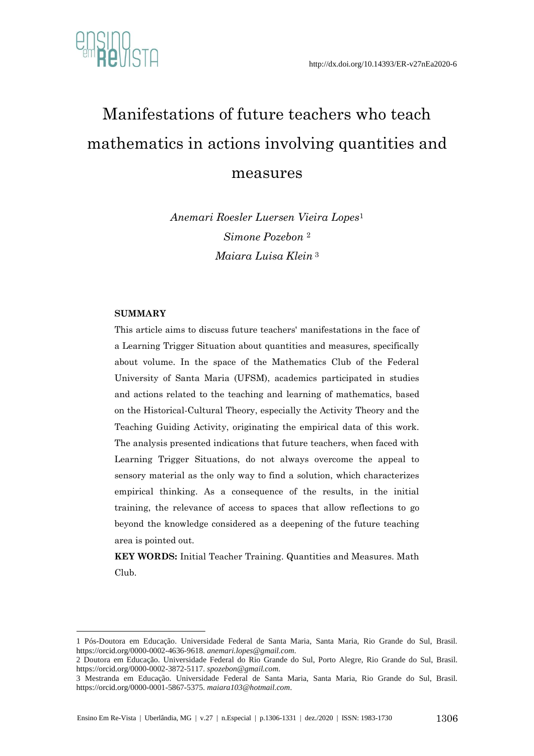

# Manifestations of future teachers who teach mathematics in actions involving quantities and measures

*Anemari Roesler Luersen Vieira Lopes*<sup>1</sup> *Simone Pozebon* <sup>2</sup> *Maiara Luisa Klein* <sup>3</sup>

#### **SUMMARY**

1

This article aims to discuss future teachers' manifestations in the face of a Learning Trigger Situation about quantities and measures, specifically about volume. In the space of the Mathematics Club of the Federal University of Santa Maria (UFSM), academics participated in studies and actions related to the teaching and learning of mathematics, based on the Historical-Cultural Theory, especially the Activity Theory and the Teaching Guiding Activity, originating the empirical data of this work. The analysis presented indications that future teachers, when faced with Learning Trigger Situations, do not always overcome the appeal to sensory material as the only way to find a solution, which characterizes empirical thinking. As a consequence of the results, in the initial training, the relevance of access to spaces that allow reflections to go beyond the knowledge considered as a deepening of the future teaching area is pointed out.

**KEY WORDS:** Initial Teacher Training. Quantities and Measures. Math Club.

<sup>1</sup> Pós-Doutora em Educação. Universidade Federal de Santa Maria, Santa Maria, Rio Grande do Sul, Brasil. https://orcid.org/0000-0002-4636-9618. *anemari.lopes@gmail.com*.

<sup>2</sup> Doutora em Educação. Universidade Federal do Rio Grande do Sul, Porto Alegre, Rio Grande do Sul, Brasil. https://orcid.org/0000-0002-3872-5117. *spozebon@gmail.com*.

<sup>3</sup> Mestranda em Educação. Universidade Federal de Santa Maria, Santa Maria, Rio Grande do Sul, Brasil. https://orcid.org/0000-0001-5867-5375. *maiara103@hotmail.com*.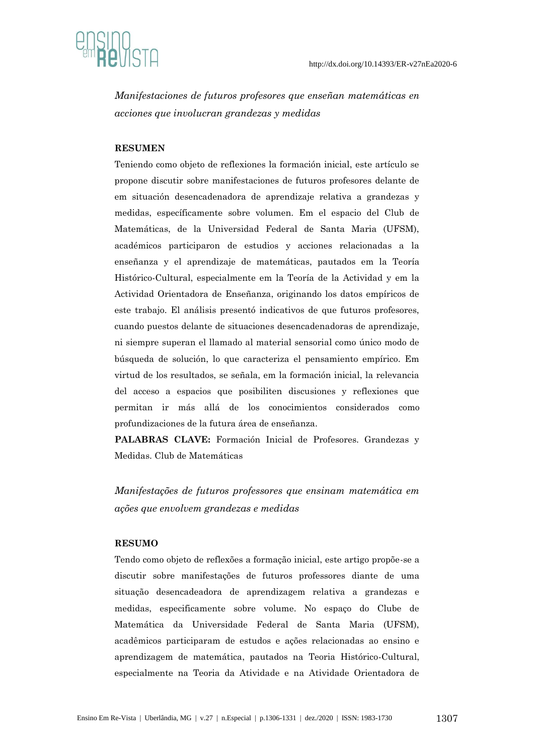

*Manifestaciones de futuros profesores que enseñan matemáticas en acciones que involucran grandezas y medidas*

#### **RESUMEN**

Teniendo como objeto de reflexiones la formación inicial, este artículo se propone discutir sobre manifestaciones de futuros profesores delante de em situación desencadenadora de aprendizaje relativa a grandezas y medidas, específicamente sobre volumen. Em el espacio del Club de Matemáticas, de la Universidad Federal de Santa Maria (UFSM), académicos participaron de estudios y acciones relacionadas a la enseñanza y el aprendizaje de matemáticas, pautados em la Teoría Histórico-Cultural, especialmente em la Teoría de la Actividad y em la Actividad Orientadora de Enseñanza, originando los datos empíricos de este trabajo. El análisis presentó indicativos de que futuros profesores, cuando puestos delante de situaciones desencadenadoras de aprendizaje, ni siempre superan el llamado al material sensorial como único modo de búsqueda de solución, lo que caracteriza el pensamiento empírico. Em virtud de los resultados, se señala, em la formación inicial, la relevancia del acceso a espacios que posibiliten discusiones y reflexiones que permitan ir más allá de los conocimientos considerados como profundizaciones de la futura área de enseñanza.

**PALABRAS CLAVE:** Formación Inicial de Profesores. Grandezas y Medidas. Club de Matemáticas

*Manifestações de futuros professores que ensinam matemática em ações que envolvem grandezas e medidas*

#### **RESUMO**

Tendo como objeto de reflexões a formação inicial, este artigo propõe-se a discutir sobre manifestações de futuros professores diante de uma situação desencadeadora de aprendizagem relativa a grandezas e medidas, especificamente sobre volume. No espaço do Clube de Matemática da Universidade Federal de Santa Maria (UFSM), acadêmicos participaram de estudos e ações relacionadas ao ensino e aprendizagem de matemática, pautados na Teoria Histórico-Cultural, especialmente na Teoria da Atividade e na Atividade Orientadora de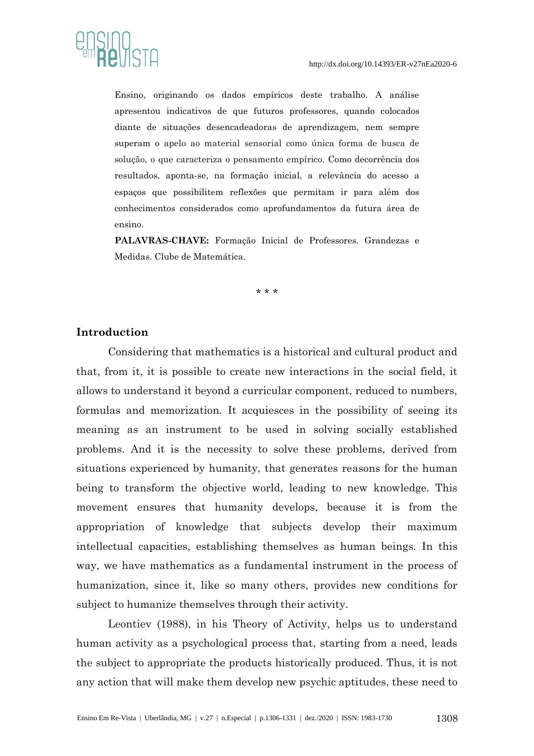

Ensino, originando os dados empíricos deste trabalho. A análise apresentou indicativos de que futuros professores, quando colocados diante de situações desencadeadoras de aprendizagem, nem sempre superam o apelo ao material sensorial como única forma de busca de solução, o que caracteriza o pensamento empírico. Como decorrência dos resultados, aponta-se, na formação inicial, a relevância do acesso a espaços que possibilitem reflexões que permitam ir para além dos conhecimentos considerados como aprofundamentos da futura área de ensino.

**PALAVRAS-CHAVE:** Formação Inicial de Professores. Grandezas e Medidas. Clube de Matemática.

\* \* \*

#### **Introduction**

Considering that mathematics is a historical and cultural product and that, from it, it is possible to create new interactions in the social field, it allows to understand it beyond a curricular component, reduced to numbers, formulas and memorization. It acquiesces in the possibility of seeing its meaning as an instrument to be used in solving socially established problems. And it is the necessity to solve these problems, derived from situations experienced by humanity, that generates reasons for the human being to transform the objective world, leading to new knowledge. This movement ensures that humanity develops, because it is from the appropriation of knowledge that subjects develop their maximum intellectual capacities, establishing themselves as human beings. In this way, we have mathematics as a fundamental instrument in the process of humanization, since it, like so many others, provides new conditions for subject to humanize themselves through their activity.

Leontiev (1988), in his Theory of Activity, helps us to understand human activity as a psychological process that, starting from a need, leads the subject to appropriate the products historically produced. Thus, it is not any action that will make them develop new psychic aptitudes, these need to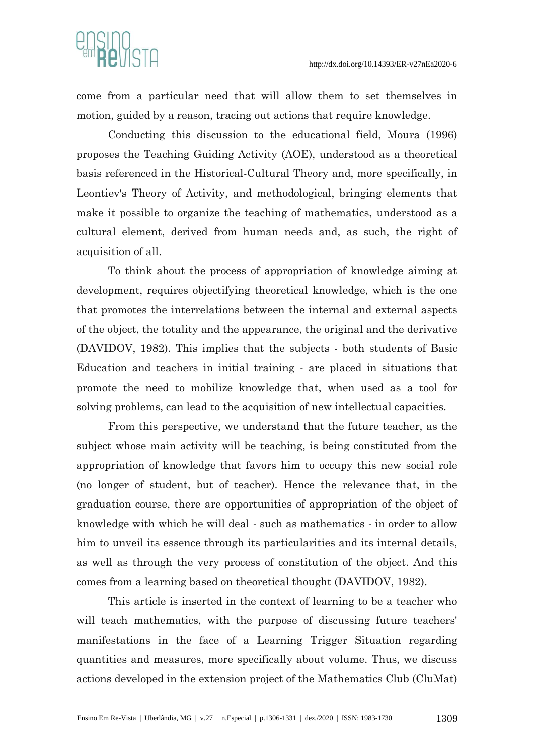

come from a particular need that will allow them to set themselves in motion, guided by a reason, tracing out actions that require knowledge.

Conducting this discussion to the educational field, Moura (1996) proposes the Teaching Guiding Activity (AOE), understood as a theoretical basis referenced in the Historical-Cultural Theory and, more specifically, in Leontiev's Theory of Activity, and methodological, bringing elements that make it possible to organize the teaching of mathematics, understood as a cultural element, derived from human needs and, as such, the right of acquisition of all.

To think about the process of appropriation of knowledge aiming at development, requires objectifying theoretical knowledge, which is the one that promotes the interrelations between the internal and external aspects of the object, the totality and the appearance, the original and the derivative (DAVIDOV, 1982). This implies that the subjects - both students of Basic Education and teachers in initial training - are placed in situations that promote the need to mobilize knowledge that, when used as a tool for solving problems, can lead to the acquisition of new intellectual capacities.

From this perspective, we understand that the future teacher, as the subject whose main activity will be teaching, is being constituted from the appropriation of knowledge that favors him to occupy this new social role (no longer of student, but of teacher). Hence the relevance that, in the graduation course, there are opportunities of appropriation of the object of knowledge with which he will deal - such as mathematics - in order to allow him to unveil its essence through its particularities and its internal details, as well as through the very process of constitution of the object. And this comes from a learning based on theoretical thought (DAVIDOV, 1982).

This article is inserted in the context of learning to be a teacher who will teach mathematics, with the purpose of discussing future teachers' manifestations in the face of a Learning Trigger Situation regarding quantities and measures, more specifically about volume. Thus, we discuss actions developed in the extension project of the Mathematics Club (CluMat)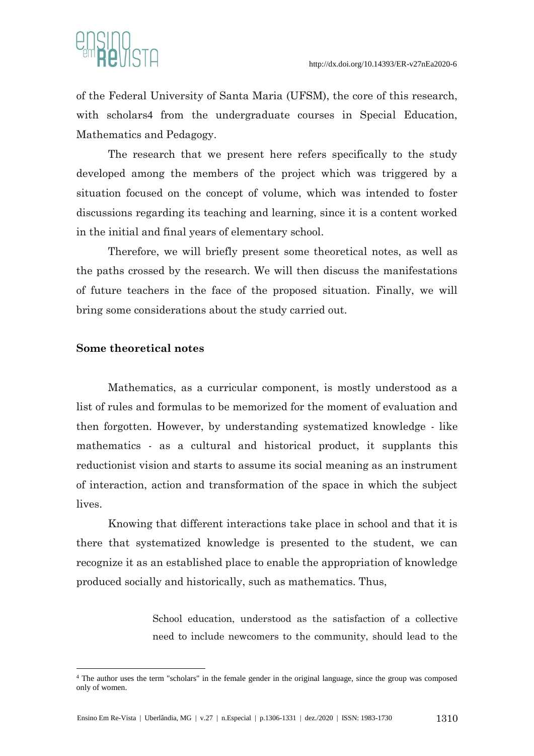

of the Federal University of Santa Maria (UFSM), the core of this research, with scholars4 from the undergraduate courses in Special Education, Mathematics and Pedagogy.

The research that we present here refers specifically to the study developed among the members of the project which was triggered by a situation focused on the concept of volume, which was intended to foster discussions regarding its teaching and learning, since it is a content worked in the initial and final years of elementary school.

Therefore, we will briefly present some theoretical notes, as well as the paths crossed by the research. We will then discuss the manifestations of future teachers in the face of the proposed situation. Finally, we will bring some considerations about the study carried out.

# **Some theoretical notes**

<u>.</u>

Mathematics, as a curricular component, is mostly understood as a list of rules and formulas to be memorized for the moment of evaluation and then forgotten. However, by understanding systematized knowledge - like mathematics - as a cultural and historical product, it supplants this reductionist vision and starts to assume its social meaning as an instrument of interaction, action and transformation of the space in which the subject lives.

Knowing that different interactions take place in school and that it is there that systematized knowledge is presented to the student, we can recognize it as an established place to enable the appropriation of knowledge produced socially and historically, such as mathematics. Thus,

> School education, understood as the satisfaction of a collective need to include newcomers to the community, should lead to the

<sup>4</sup> The author uses the term "scholars" in the female gender in the original language, since the group was composed only of women.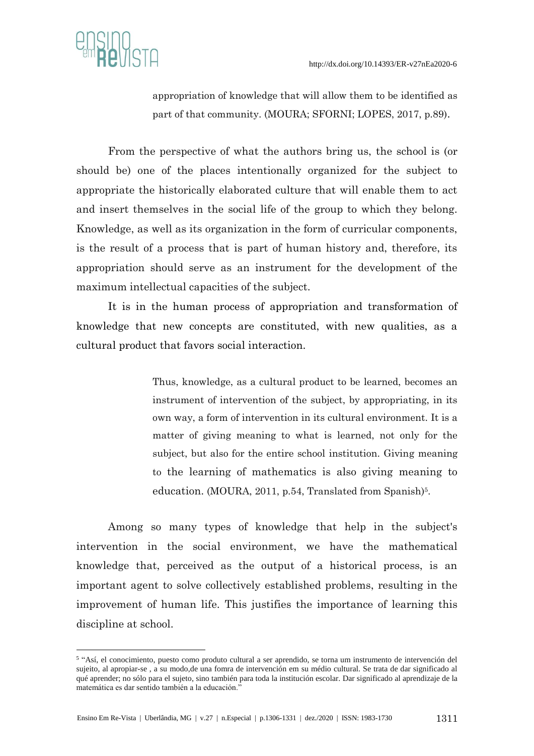

1

appropriation of knowledge that will allow them to be identified as part of that community. (MOURA; SFORNI; LOPES, 2017, p.89).

From the perspective of what the authors bring us, the school is (or should be) one of the places intentionally organized for the subject to appropriate the historically elaborated culture that will enable them to act and insert themselves in the social life of the group to which they belong. Knowledge, as well as its organization in the form of curricular components, is the result of a process that is part of human history and, therefore, its appropriation should serve as an instrument for the development of the maximum intellectual capacities of the subject.

It is in the human process of appropriation and transformation of knowledge that new concepts are constituted, with new qualities, as a cultural product that favors social interaction.

> Thus, knowledge, as a cultural product to be learned, becomes an instrument of intervention of the subject, by appropriating, in its own way, a form of intervention in its cultural environment. It is a matter of giving meaning to what is learned, not only for the subject, but also for the entire school institution. Giving meaning to the learning of mathematics is also giving meaning to education. (MOURA, 2011, p.54, Translated from Spanish)<sup>5</sup>.

Among so many types of knowledge that help in the subject's intervention in the social environment, we have the mathematical knowledge that, perceived as the output of a historical process, is an important agent to solve collectively established problems, resulting in the improvement of human life. This justifies the importance of learning this discipline at school.

<sup>5</sup> "Así, el conocimiento, puesto como produto cultural a ser aprendido, se torna um instrumento de intervención del sujeito, al apropiar-se , a su modo,de una fomra de intervención em su médio cultural. Se trata de dar significado al qué aprender; no sólo para el sujeto, sino también para toda la institución escolar. Dar significado al aprendizaje de la matemática es dar sentido también a la educación."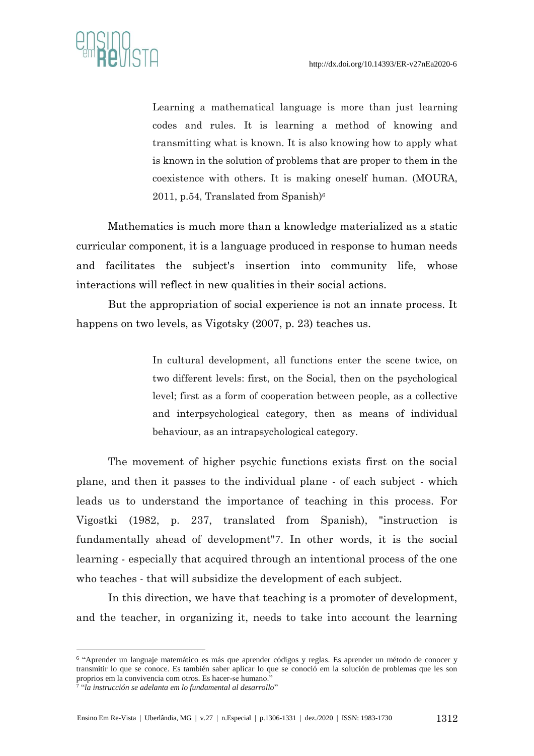

Learning a mathematical language is more than just learning codes and rules. It is learning a method of knowing and transmitting what is known. It is also knowing how to apply what is known in the solution of problems that are proper to them in the coexistence with others. It is making oneself human. (MOURA, 2011, p.54, Translated from Spanish $6$ <sup>6</sup>

Mathematics is much more than a knowledge materialized as a static curricular component, it is a language produced in response to human needs and facilitates the subject's insertion into community life, whose interactions will reflect in new qualities in their social actions.

But the appropriation of social experience is not an innate process. It happens on two levels, as Vigotsky (2007, p. 23) teaches us.

> In cultural development, all functions enter the scene twice, on two different levels: first, on the Social, then on the psychological level; first as a form of cooperation between people, as a collective and interpsychological category, then as means of individual behaviour, as an intrapsychological category.

The movement of higher psychic functions exists first on the social plane, and then it passes to the individual plane - of each subject - which leads us to understand the importance of teaching in this process. For Vigostki (1982, p. 237, translated from Spanish), "instruction is fundamentally ahead of development"7. In other words, it is the social learning - especially that acquired through an intentional process of the one who teaches - that will subsidize the development of each subject.

In this direction, we have that teaching is a promoter of development, and the teacher, in organizing it, needs to take into account the learning

1

<sup>6</sup> "Aprender un languaje matemático es más que aprender códigos y reglas. Es aprender un método de conocer y transmitir lo que se conoce. Es también saber aplicar lo que se conoció em la solución de problemas que les son proprios em la convivencia com otros. Es hacer-se humano."

<sup>7</sup> "*la instrucción se adelanta em lo fundamental al desarrollo*"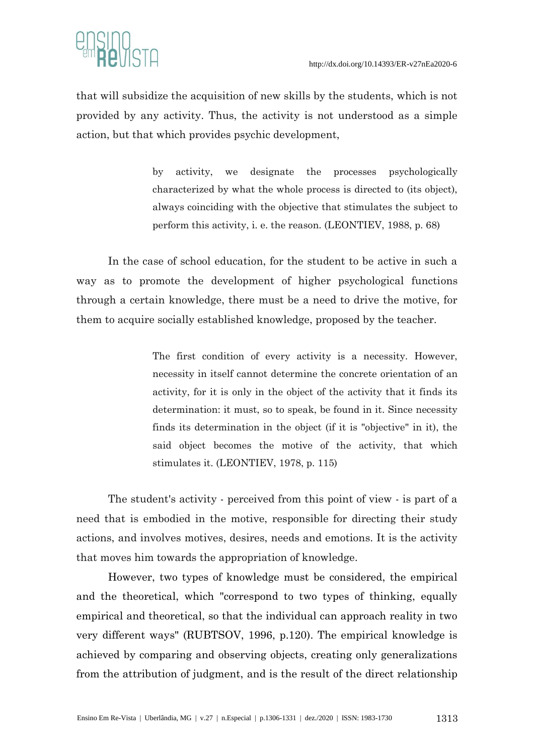

that will subsidize the acquisition of new skills by the students, which is not provided by any activity. Thus, the activity is not understood as a simple action, but that which provides psychic development,

> by activity, we designate the processes psychologically characterized by what the whole process is directed to (its object), always coinciding with the objective that stimulates the subject to perform this activity, i. e. the reason. (LEONTIEV, 1988, p. 68)

In the case of school education, for the student to be active in such a way as to promote the development of higher psychological functions through a certain knowledge, there must be a need to drive the motive, for them to acquire socially established knowledge, proposed by the teacher.

> The first condition of every activity is a necessity. However, necessity in itself cannot determine the concrete orientation of an activity, for it is only in the object of the activity that it finds its determination: it must, so to speak, be found in it. Since necessity finds its determination in the object (if it is "objective" in it), the said object becomes the motive of the activity, that which stimulates it. (LEONTIEV, 1978, p. 115)

The student's activity - perceived from this point of view - is part of a need that is embodied in the motive, responsible for directing their study actions, and involves motives, desires, needs and emotions. It is the activity that moves him towards the appropriation of knowledge.

However, two types of knowledge must be considered, the empirical and the theoretical, which "correspond to two types of thinking, equally empirical and theoretical, so that the individual can approach reality in two very different ways" (RUBTSOV, 1996, p.120). The empirical knowledge is achieved by comparing and observing objects, creating only generalizations from the attribution of judgment, and is the result of the direct relationship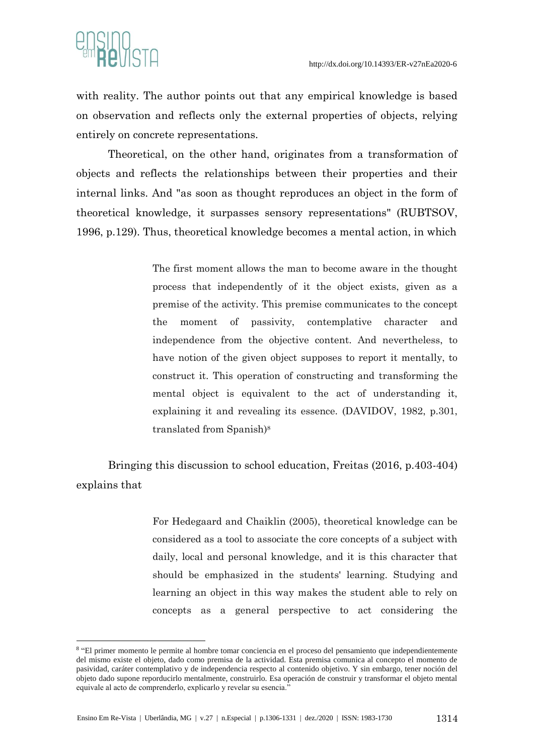

1

with reality. The author points out that any empirical knowledge is based on observation and reflects only the external properties of objects, relying entirely on concrete representations.

Theoretical, on the other hand, originates from a transformation of objects and reflects the relationships between their properties and their internal links. And "as soon as thought reproduces an object in the form of theoretical knowledge, it surpasses sensory representations" (RUBTSOV, 1996, p.129). Thus, theoretical knowledge becomes a mental action, in which

> The first moment allows the man to become aware in the thought process that independently of it the object exists, given as a premise of the activity. This premise communicates to the concept the moment of passivity, contemplative character and independence from the objective content. And nevertheless, to have notion of the given object supposes to report it mentally, to construct it. This operation of constructing and transforming the mental object is equivalent to the act of understanding it, explaining it and revealing its essence. (DAVIDOV, 1982, p.301, translated from Spanish)<sup>8</sup>

Bringing this discussion to school education, Freitas (2016, p.403-404) explains that

> For Hedegaard and Chaiklin (2005), theoretical knowledge can be considered as a tool to associate the core concepts of a subject with daily, local and personal knowledge, and it is this character that should be emphasized in the students' learning. Studying and learning an object in this way makes the student able to rely on concepts as a general perspective to act considering the

<sup>8</sup> "El primer momento le permite al hombre tomar conciencia en el proceso del pensamiento que independientemente del mismo existe el objeto, dado como premisa de la actividad. Esta premisa comunica al concepto el momento de pasividad, caráter contemplativo y de independencia respecto al contenido objetivo. Y sin embargo, tener noción del objeto dado supone reporducirlo mentalmente, construirlo. Esa operación de construir y transformar el objeto mental equivale al acto de comprenderlo, explicarlo y revelar su esencia."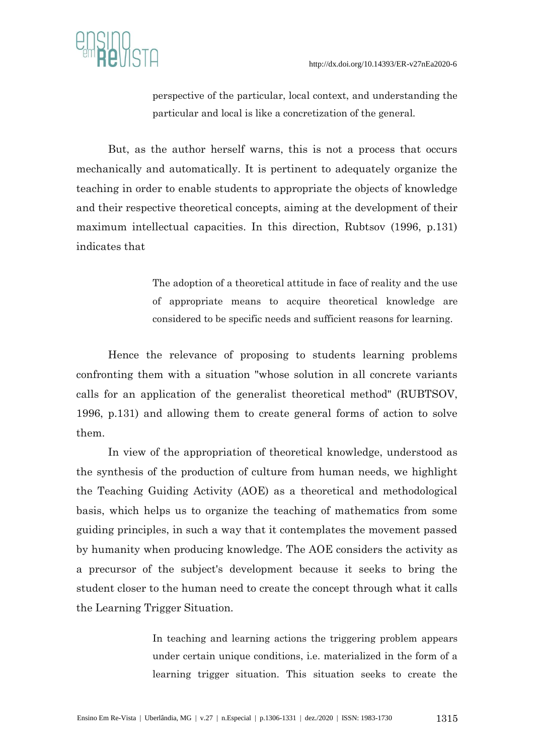

perspective of the particular, local context, and understanding the particular and local is like a concretization of the general.

But, as the author herself warns, this is not a process that occurs mechanically and automatically. It is pertinent to adequately organize the teaching in order to enable students to appropriate the objects of knowledge and their respective theoretical concepts, aiming at the development of their maximum intellectual capacities. In this direction, Rubtsov (1996, p.131) indicates that

> The adoption of a theoretical attitude in face of reality and the use of appropriate means to acquire theoretical knowledge are considered to be specific needs and sufficient reasons for learning.

Hence the relevance of proposing to students learning problems confronting them with a situation "whose solution in all concrete variants calls for an application of the generalist theoretical method" (RUBTSOV, 1996, p.131) and allowing them to create general forms of action to solve them.

In view of the appropriation of theoretical knowledge, understood as the synthesis of the production of culture from human needs, we highlight the Teaching Guiding Activity (AOE) as a theoretical and methodological basis, which helps us to organize the teaching of mathematics from some guiding principles, in such a way that it contemplates the movement passed by humanity when producing knowledge. The AOE considers the activity as a precursor of the subject's development because it seeks to bring the student closer to the human need to create the concept through what it calls the Learning Trigger Situation.

> In teaching and learning actions the triggering problem appears under certain unique conditions, i.e. materialized in the form of a learning trigger situation. This situation seeks to create the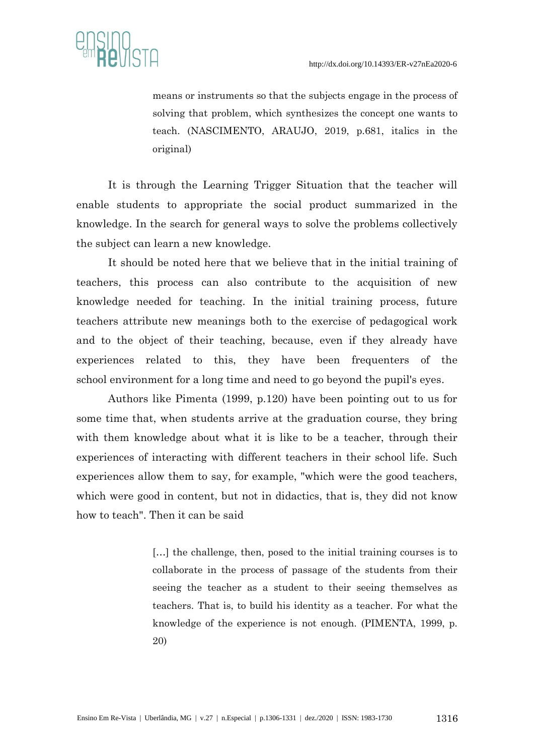

means or instruments so that the subjects engage in the process of solving that problem, which synthesizes the concept one wants to teach. (NASCIMENTO, ARAUJO, 2019, p.681, italics in the original)

It is through the Learning Trigger Situation that the teacher will enable students to appropriate the social product summarized in the knowledge. In the search for general ways to solve the problems collectively the subject can learn a new knowledge.

It should be noted here that we believe that in the initial training of teachers, this process can also contribute to the acquisition of new knowledge needed for teaching. In the initial training process, future teachers attribute new meanings both to the exercise of pedagogical work and to the object of their teaching, because, even if they already have experiences related to this, they have been frequenters of the school environment for a long time and need to go beyond the pupil's eyes.

Authors like Pimenta (1999, p.120) have been pointing out to us for some time that, when students arrive at the graduation course, they bring with them knowledge about what it is like to be a teacher, through their experiences of interacting with different teachers in their school life. Such experiences allow them to say, for example, "which were the good teachers, which were good in content, but not in didactics, that is, they did not know how to teach". Then it can be said

> [...] the challenge, then, posed to the initial training courses is to collaborate in the process of passage of the students from their seeing the teacher as a student to their seeing themselves as teachers. That is, to build his identity as a teacher. For what the knowledge of the experience is not enough. (PIMENTA, 1999, p. 20)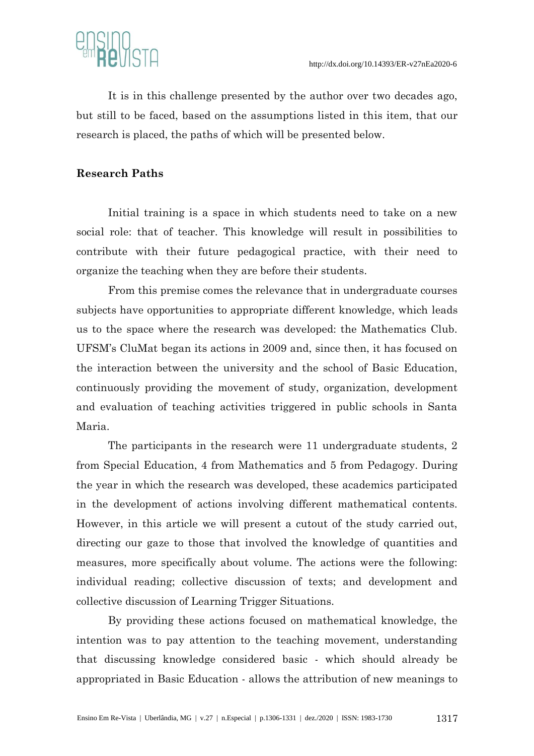

It is in this challenge presented by the author over two decades ago, but still to be faced, based on the assumptions listed in this item, that our research is placed, the paths of which will be presented below.

### **Research Paths**

Initial training is a space in which students need to take on a new social role: that of teacher. This knowledge will result in possibilities to contribute with their future pedagogical practice, with their need to organize the teaching when they are before their students.

From this premise comes the relevance that in undergraduate courses subjects have opportunities to appropriate different knowledge, which leads us to the space where the research was developed: the Mathematics Club. UFSM's CluMat began its actions in 2009 and, since then, it has focused on the interaction between the university and the school of Basic Education, continuously providing the movement of study, organization, development and evaluation of teaching activities triggered in public schools in Santa Maria.

The participants in the research were 11 undergraduate students, 2 from Special Education, 4 from Mathematics and 5 from Pedagogy. During the year in which the research was developed, these academics participated in the development of actions involving different mathematical contents. However, in this article we will present a cutout of the study carried out, directing our gaze to those that involved the knowledge of quantities and measures, more specifically about volume. The actions were the following: individual reading; collective discussion of texts; and development and collective discussion of Learning Trigger Situations.

By providing these actions focused on mathematical knowledge, the intention was to pay attention to the teaching movement, understanding that discussing knowledge considered basic - which should already be appropriated in Basic Education - allows the attribution of new meanings to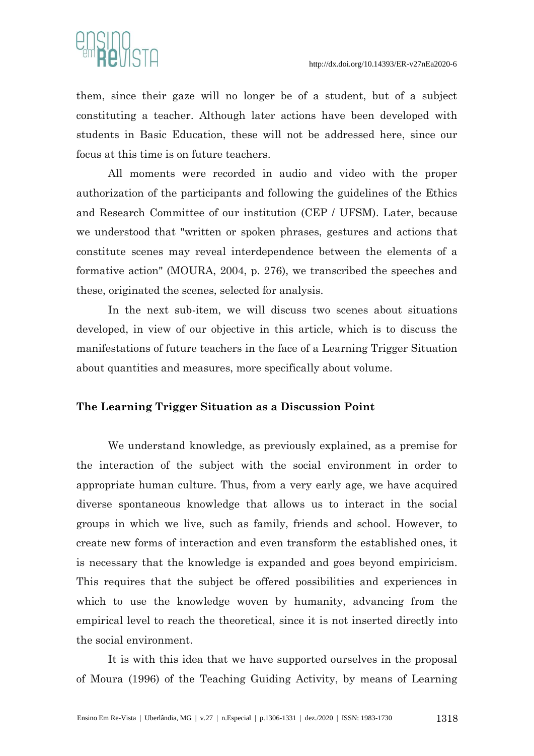

them, since their gaze will no longer be of a student, but of a subject constituting a teacher. Although later actions have been developed with students in Basic Education, these will not be addressed here, since our focus at this time is on future teachers.

All moments were recorded in audio and video with the proper authorization of the participants and following the guidelines of the Ethics and Research Committee of our institution (CEP / UFSM). Later, because we understood that "written or spoken phrases, gestures and actions that constitute scenes may reveal interdependence between the elements of a formative action" (MOURA, 2004, p. 276), we transcribed the speeches and these, originated the scenes, selected for analysis.

In the next sub-item, we will discuss two scenes about situations developed, in view of our objective in this article, which is to discuss the manifestations of future teachers in the face of a Learning Trigger Situation about quantities and measures, more specifically about volume.

#### **The Learning Trigger Situation as a Discussion Point**

We understand knowledge, as previously explained, as a premise for the interaction of the subject with the social environment in order to appropriate human culture. Thus, from a very early age, we have acquired diverse spontaneous knowledge that allows us to interact in the social groups in which we live, such as family, friends and school. However, to create new forms of interaction and even transform the established ones, it is necessary that the knowledge is expanded and goes beyond empiricism. This requires that the subject be offered possibilities and experiences in which to use the knowledge woven by humanity, advancing from the empirical level to reach the theoretical, since it is not inserted directly into the social environment.

It is with this idea that we have supported ourselves in the proposal of Moura (1996) of the Teaching Guiding Activity, by means of Learning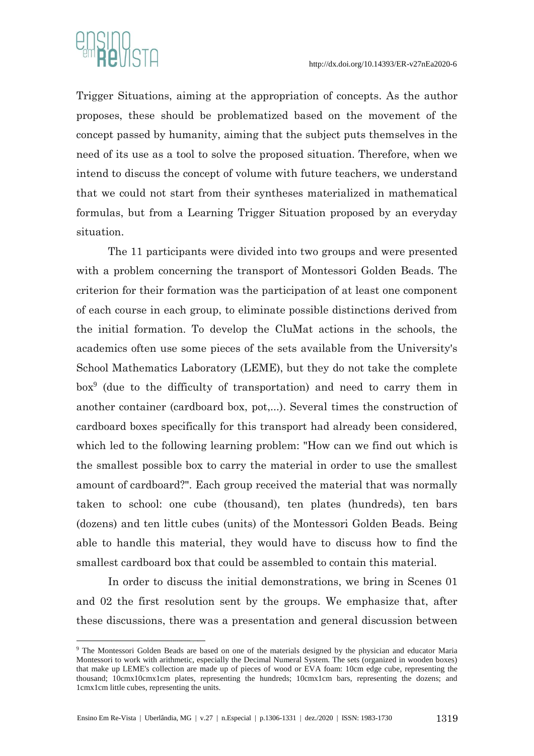

1

Trigger Situations, aiming at the appropriation of concepts. As the author proposes, these should be problematized based on the movement of the concept passed by humanity, aiming that the subject puts themselves in the need of its use as a tool to solve the proposed situation. Therefore, when we intend to discuss the concept of volume with future teachers, we understand that we could not start from their syntheses materialized in mathematical formulas, but from a Learning Trigger Situation proposed by an everyday situation.

The 11 participants were divided into two groups and were presented with a problem concerning the transport of Montessori Golden Beads. The criterion for their formation was the participation of at least one component of each course in each group, to eliminate possible distinctions derived from the initial formation. To develop the CluMat actions in the schools, the academics often use some pieces of the sets available from the University's School Mathematics Laboratory (LEME), but they do not take the complete box<sup>9</sup> (due to the difficulty of transportation) and need to carry them in another container (cardboard box, pot,...). Several times the construction of cardboard boxes specifically for this transport had already been considered, which led to the following learning problem: "How can we find out which is the smallest possible box to carry the material in order to use the smallest amount of cardboard?". Each group received the material that was normally taken to school: one cube (thousand), ten plates (hundreds), ten bars (dozens) and ten little cubes (units) of the Montessori Golden Beads. Being able to handle this material, they would have to discuss how to find the smallest cardboard box that could be assembled to contain this material.

In order to discuss the initial demonstrations, we bring in Scenes 01 and 02 the first resolution sent by the groups. We emphasize that, after these discussions, there was a presentation and general discussion between

<sup>9</sup> The Montessori Golden Beads are based on one of the materials designed by the physician and educator Maria Montessori to work with arithmetic, especially the Decimal Numeral System. The sets (organized in wooden boxes) that make up LEME's collection are made up of pieces of wood or EVA foam: 10cm edge cube, representing the thousand; 10cmx10cmx1cm plates, representing the hundreds; 10cmx1cm bars, representing the dozens; and 1cmx1cm little cubes, representing the units.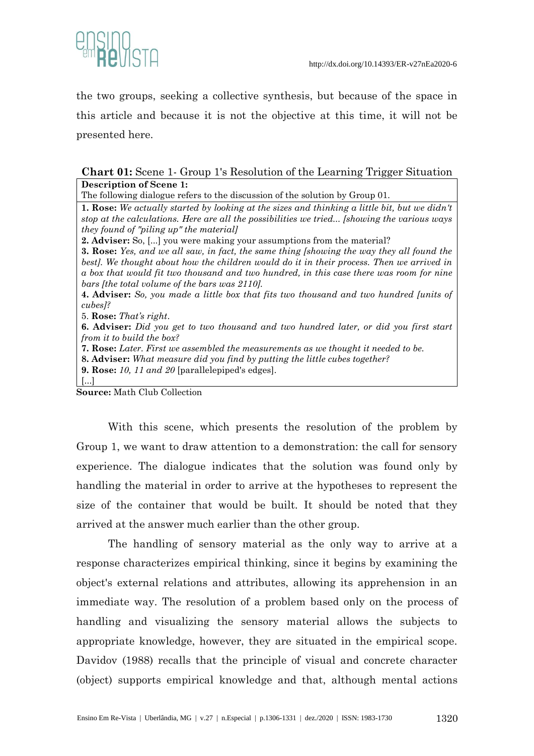

the two groups, seeking a collective synthesis, but because of the space in this article and because it is not the objective at this time, it will not be presented here.

# **Chart 01:** Scene 1- Group 1's Resolution of the Learning Trigger Situation **Description of Scene 1:**

The following dialogue refers to the discussion of the solution by Group 01.

**1. Rose:** *We actually started by looking at the sizes and thinking a little bit, but we didn't stop at the calculations. Here are all the possibilities we tried... [showing the various ways they found of "piling up" the material]*

**2. Adviser:** So, [...] you were making your assumptions from the material?

**3. Rose:** *Yes, and we all saw, in fact, the same thing [showing the way they all found the best]. We thought about how the children would do it in their process. Then we arrived in a box that would fit two thousand and two hundred, in this case there was room for nine bars [the total volume of the bars was 2110].* 

**4. Adviser:** *So, you made a little box that fits two thousand and two hundred [units of cubes]?* 

5. **Rose:** *That's right*.

**6. Adviser:** *Did you get to two thousand and two hundred later, or did you first start from it to build the box?*

**7. Rose:** *Later. First we assembled the measurements as we thought it needed to be.* 

**8. Adviser:** *What measure did you find by putting the little cubes together?*

**9. Rose:** *10, 11 and 20* [parallelepiped's edges].

**Source:** Math Club Collection

 $\lceil$   $\rceil$ 

With this scene, which presents the resolution of the problem by Group 1, we want to draw attention to a demonstration: the call for sensory experience. The dialogue indicates that the solution was found only by handling the material in order to arrive at the hypotheses to represent the size of the container that would be built. It should be noted that they arrived at the answer much earlier than the other group.

The handling of sensory material as the only way to arrive at a response characterizes empirical thinking, since it begins by examining the object's external relations and attributes, allowing its apprehension in an immediate way. The resolution of a problem based only on the process of handling and visualizing the sensory material allows the subjects to appropriate knowledge, however, they are situated in the empirical scope. Davidov (1988) recalls that the principle of visual and concrete character (object) supports empirical knowledge and that, although mental actions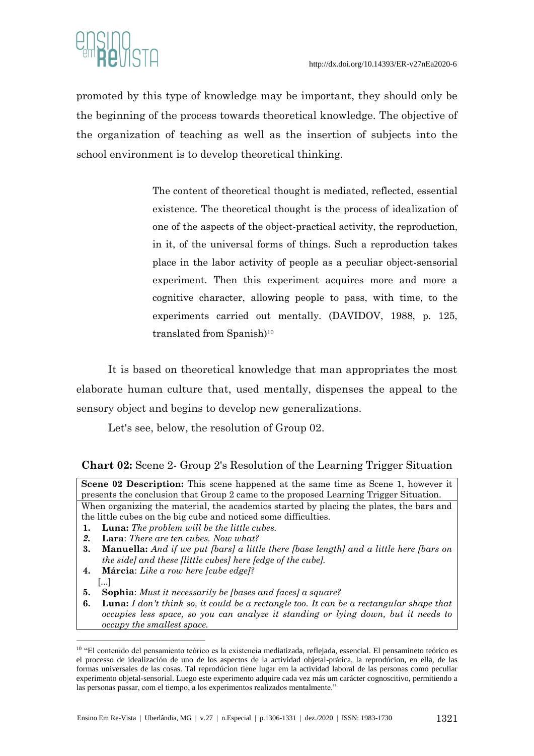

promoted by this type of knowledge may be important, they should only be the beginning of the process towards theoretical knowledge. The objective of the organization of teaching as well as the insertion of subjects into the school environment is to develop theoretical thinking.

> The content of theoretical thought is mediated, reflected, essential existence. The theoretical thought is the process of idealization of one of the aspects of the object-practical activity, the reproduction, in it, of the universal forms of things. Such a reproduction takes place in the labor activity of people as a peculiar object-sensorial experiment. Then this experiment acquires more and more a cognitive character, allowing people to pass, with time, to the experiments carried out mentally. (DAVIDOV, 1988, p. 125, translated from Spanish)<sup>10</sup>

It is based on theoretical knowledge that man appropriates the most elaborate human culture that, used mentally, dispenses the appeal to the sensory object and begins to develop new generalizations.

Let's see, below, the resolution of Group 02.

- **1. Luna:** *The problem will be the little cubes.*
- *2.* **Lara**: *There are ten cubes. Now what?*
- **3. Manuella:** *And if we put [bars] a little there [base length] and a little here [bars on the side] and these [little cubes] here [edge of the cube].*
- **4. Márcia**: *Like a row here [cube edge]?* [...]

1

- **5. Sophia**: *Must it necessarily be [bases and faces] a square?*
- **6. Luna:** *I don't think so, it could be a rectangle too. It can be a rectangular shape that occupies less space, so you can analyze it standing or lying down, but it needs to occupy the smallest space.*

**Chart 02:** Scene 2- Group 2's Resolution of the Learning Trigger Situation

**Scene 02 Description:** This scene happened at the same time as Scene 1, however it presents the conclusion that Group 2 came to the proposed Learning Trigger Situation. When organizing the material, the academics started by placing the plates, the bars and the little cubes on the big cube and noticed some difficulties.

<sup>10</sup> "El contenido del pensamiento teórico es la existencia mediatizada, reflejada, essencial. El pensamineto teórico es el processo de idealización de uno de los aspectos de la actividad objetal-prática, la reprodúcion, en ella, de las formas universales de las cosas. Tal reprodúcion tiene lugar em la actividad laboral de las personas como peculiar experimento objetal-sensorial. Luego este experimento adquire cada vez más um carácter cognoscitivo, permitiendo a las personas passar, com el tiempo, a los experimentos realizados mentalmente."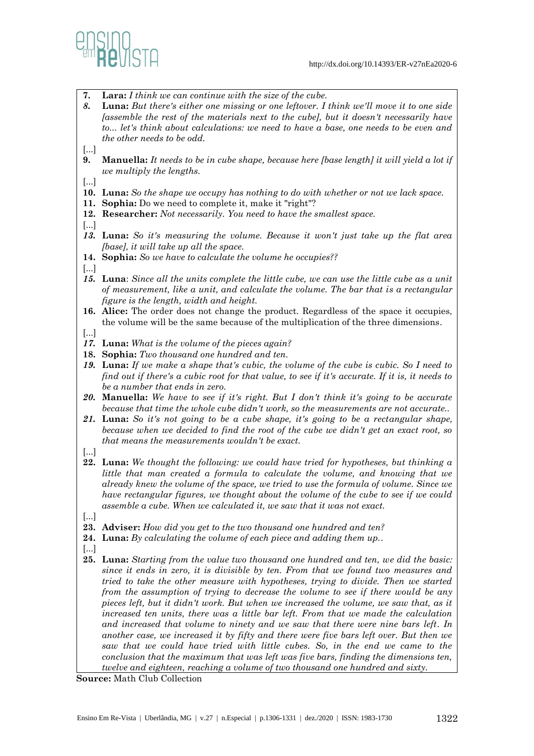

- **7. Lara:** *I think we can continue with the size of the cube.*
- *8.* **Luna:** *But there's either one missing or one leftover. I think we'll move it to one side [assemble the rest of the materials next to the cube], but it doesn't necessarily have to... let's think about calculations: we need to have a base, one needs to be even and the other needs to be odd.*
- [...]
- **9. Manuella:** *It needs to be in cube shape, because here [base length] it will yield a lot if we multiply the lengths.*
- [...]
- **10. Luna:** *So the shape we occupy has nothing to do with whether or not we lack space.*
- **11. Sophia:** Do we need to complete it, make it "right"?
- **12. Researcher:** *Not necessarily. You need to have the smallest space.*
- [...]
- *13.* **Luna:** *So it's measuring the volume. Because it won't just take up the flat area [base], it will take up all the space.*
- **14. Sophia:** *So we have to calculate the volume he occupies??*
- [...]
- *15.* **Luna**: *Since all the units complete the little cube, we can use the little cube as a unit of measurement, like a unit, and calculate the volume. The bar that is a rectangular figure is the length, width and height.*
- **16. Alice:** The order does not change the product. Regardless of the space it occupies, the volume will be the same because of the multiplication of the three dimensions.
- [...]
- *17.* **Luna:** *What is the volume of the pieces again?*
- **18. Sophia:** *Two thousand one hundred and ten.*
- *19.* **Luna:** *If we make a shape that's cubic, the volume of the cube is cubic. So I need to find out if there's a cubic root for that value, to see if it's accurate. If it is, it needs to be a number that ends in zero.*
- *20.* **Manuella:** *We have to see if it's right. But I don't think it's going to be accurate because that time the whole cube didn't work, so the measurements are not accurate..*
- *21.* **Luna:** *So it's not going to be a cube shape, it's going to be a rectangular shape, because when we decided to find the root of the cube we didn't get an exact root, so that means the measurements wouldn't be exact.*
- [...]
- **22. Luna:** *We thought the following: we could have tried for hypotheses, but thinking a little that man created a formula to calculate the volume, and knowing that we already knew the volume of the space, we tried to use the formula of volume. Since we have rectangular figures, we thought about the volume of the cube to see if we could assemble a cube. When we calculated it, we saw that it was not exact.*
- [...]
- **23. Adviser:** *How did you get to the two thousand one hundred and ten?*
- **24. Luna:** *By calculating the volume of each piece and adding them up.*.
- [...]
- **25. Luna:** *Starting from the value two thousand one hundred and ten, we did the basic: since it ends in zero, it is divisible by ten. From that we found two measures and tried to take the other measure with hypotheses, trying to divide. Then we started from the assumption of trying to decrease the volume to see if there would be any pieces left, but it didn't work. But when we increased the volume, we saw that, as it increased ten units, there was a little bar left. From that we made the calculation and increased that volume to ninety and we saw that there were nine bars left. In another case, we increased it by fifty and there were five bars left over. But then we saw that we could have tried with little cubes. So, in the end we came to the conclusion that the maximum that was left was five bars, finding the dimensions ten, twelve and eighteen, reaching a volume of two thousand one hundred and sixty.*

**Source:** Math Club Collection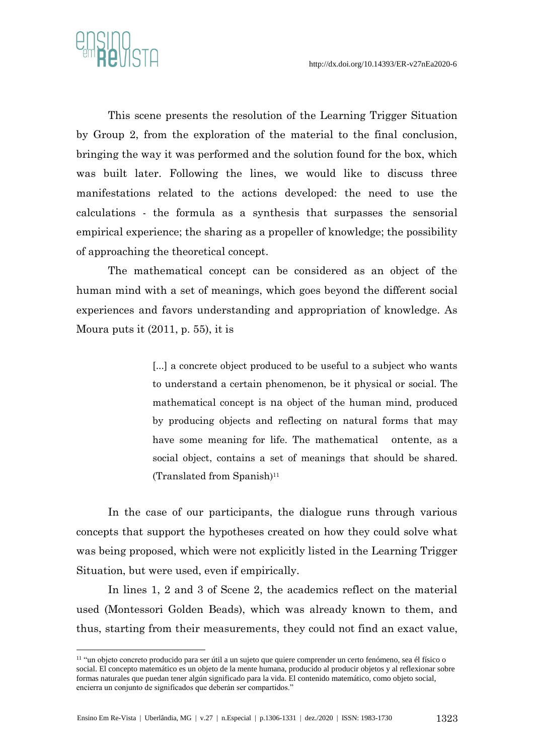

1

This scene presents the resolution of the Learning Trigger Situation by Group 2, from the exploration of the material to the final conclusion, bringing the way it was performed and the solution found for the box, which was built later. Following the lines, we would like to discuss three manifestations related to the actions developed: the need to use the calculations - the formula as a synthesis that surpasses the sensorial empirical experience; the sharing as a propeller of knowledge; the possibility of approaching the theoretical concept.

The mathematical concept can be considered as an object of the human mind with a set of meanings, which goes beyond the different social experiences and favors understanding and appropriation of knowledge. As Moura puts it  $(2011, p. 55)$ , it is

> [...] a concrete object produced to be useful to a subject who wants to understand a certain phenomenon, be it physical or social. The mathematical concept is na object of the human mind, produced by producing objects and reflecting on natural forms that may have some meaning for life. The mathematical ontente, as a social object, contains a set of meanings that should be shared. (Translated from Spanish) 11

In the case of our participants, the dialogue runs through various concepts that support the hypotheses created on how they could solve what was being proposed, which were not explicitly listed in the Learning Trigger Situation, but were used, even if empirically.

In lines 1, 2 and 3 of Scene 2, the academics reflect on the material used (Montessori Golden Beads), which was already known to them, and thus, starting from their measurements, they could not find an exact value,

<sup>11</sup> "un objeto concreto producido para ser útil a un sujeto que quiere comprender un certo fenómeno, sea él físico o social. El concepto matemático es un objeto de la mente humana, producido al producir objetos y al reflexionar sobre formas naturales que puedan tener algún significado para la vida. El contenido matemático, como objeto social, encierra un conjunto de significados que deberán ser compartidos."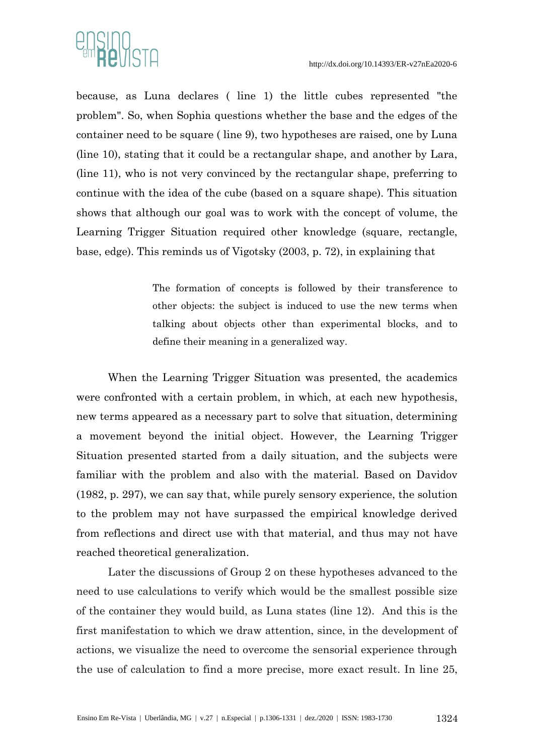

because, as Luna declares ( line 1) the little cubes represented "the problem". So, when Sophia questions whether the base and the edges of the container need to be square ( line 9), two hypotheses are raised, one by Luna (line 10), stating that it could be a rectangular shape, and another by Lara, (line 11), who is not very convinced by the rectangular shape, preferring to continue with the idea of the cube (based on a square shape). This situation shows that although our goal was to work with the concept of volume, the Learning Trigger Situation required other knowledge (square, rectangle, base, edge). This reminds us of Vigotsky (2003, p. 72), in explaining that

> The formation of concepts is followed by their transference to other objects: the subject is induced to use the new terms when talking about objects other than experimental blocks, and to define their meaning in a generalized way.

When the Learning Trigger Situation was presented, the academics were confronted with a certain problem, in which, at each new hypothesis, new terms appeared as a necessary part to solve that situation, determining a movement beyond the initial object. However, the Learning Trigger Situation presented started from a daily situation, and the subjects were familiar with the problem and also with the material. Based on Davidov (1982, p. 297), we can say that, while purely sensory experience, the solution to the problem may not have surpassed the empirical knowledge derived from reflections and direct use with that material, and thus may not have reached theoretical generalization.

Later the discussions of Group 2 on these hypotheses advanced to the need to use calculations to verify which would be the smallest possible size of the container they would build, as Luna states (line 12). And this is the first manifestation to which we draw attention, since, in the development of actions, we visualize the need to overcome the sensorial experience through the use of calculation to find a more precise, more exact result. In line 25,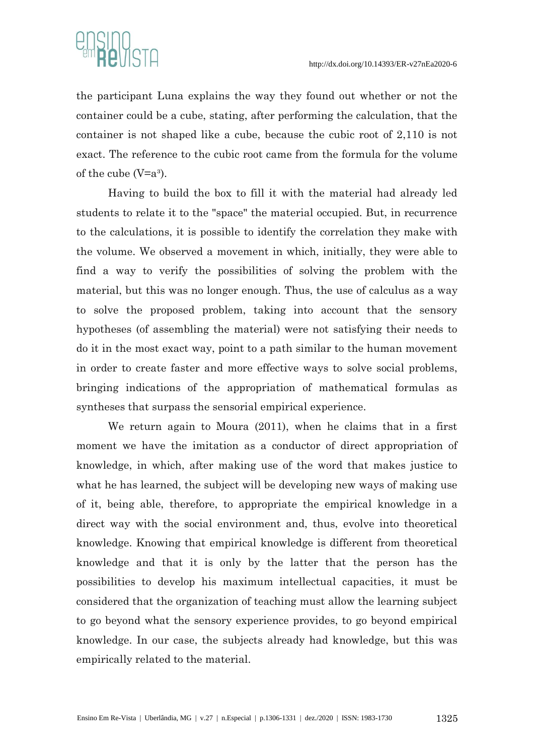

the participant Luna explains the way they found out whether or not the container could be a cube, stating, after performing the calculation, that the container is not shaped like a cube, because the cubic root of 2,110 is not exact. The reference to the cubic root came from the formula for the volume of the cube  $(V=a<sup>3</sup>)$ .

Having to build the box to fill it with the material had already led students to relate it to the "space" the material occupied. But, in recurrence to the calculations, it is possible to identify the correlation they make with the volume. We observed a movement in which, initially, they were able to find a way to verify the possibilities of solving the problem with the material, but this was no longer enough. Thus, the use of calculus as a way to solve the proposed problem, taking into account that the sensory hypotheses (of assembling the material) were not satisfying their needs to do it in the most exact way, point to a path similar to the human movement in order to create faster and more effective ways to solve social problems, bringing indications of the appropriation of mathematical formulas as syntheses that surpass the sensorial empirical experience.

We return again to Moura (2011), when he claims that in a first moment we have the imitation as a conductor of direct appropriation of knowledge, in which, after making use of the word that makes justice to what he has learned, the subject will be developing new ways of making use of it, being able, therefore, to appropriate the empirical knowledge in a direct way with the social environment and, thus, evolve into theoretical knowledge. Knowing that empirical knowledge is different from theoretical knowledge and that it is only by the latter that the person has the possibilities to develop his maximum intellectual capacities, it must be considered that the organization of teaching must allow the learning subject to go beyond what the sensory experience provides, to go beyond empirical knowledge. In our case, the subjects already had knowledge, but this was empirically related to the material.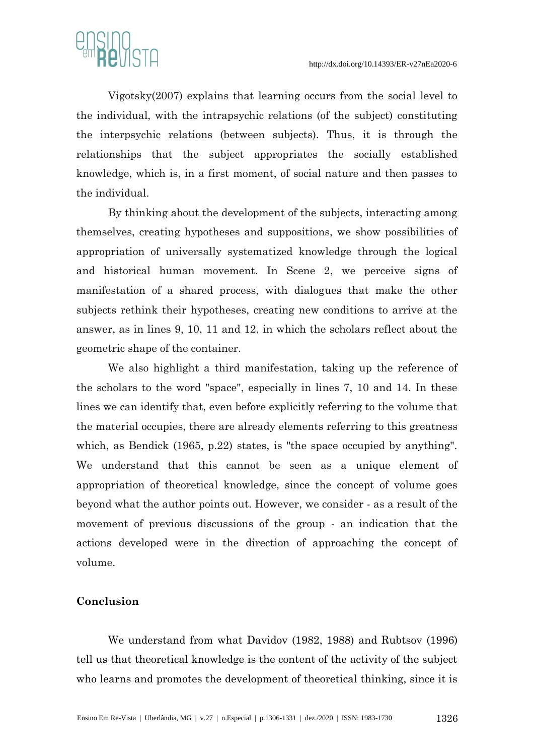

Vigotsky(2007) explains that learning occurs from the social level to the individual, with the intrapsychic relations (of the subject) constituting the interpsychic relations (between subjects). Thus, it is through the relationships that the subject appropriates the socially established knowledge, which is, in a first moment, of social nature and then passes to the individual.

By thinking about the development of the subjects, interacting among themselves, creating hypotheses and suppositions, we show possibilities of appropriation of universally systematized knowledge through the logical and historical human movement. In Scene 2, we perceive signs of manifestation of a shared process, with dialogues that make the other subjects rethink their hypotheses, creating new conditions to arrive at the answer, as in lines 9, 10, 11 and 12, in which the scholars reflect about the geometric shape of the container.

We also highlight a third manifestation, taking up the reference of the scholars to the word "space", especially in lines 7, 10 and 14. In these lines we can identify that, even before explicitly referring to the volume that the material occupies, there are already elements referring to this greatness which, as Bendick (1965, p.22) states, is "the space occupied by anything". We understand that this cannot be seen as a unique element of appropriation of theoretical knowledge, since the concept of volume goes beyond what the author points out. However, we consider - as a result of the movement of previous discussions of the group - an indication that the actions developed were in the direction of approaching the concept of volume.

## **Conclusion**

We understand from what Davidov (1982, 1988) and Rubtsov (1996) tell us that theoretical knowledge is the content of the activity of the subject who learns and promotes the development of theoretical thinking, since it is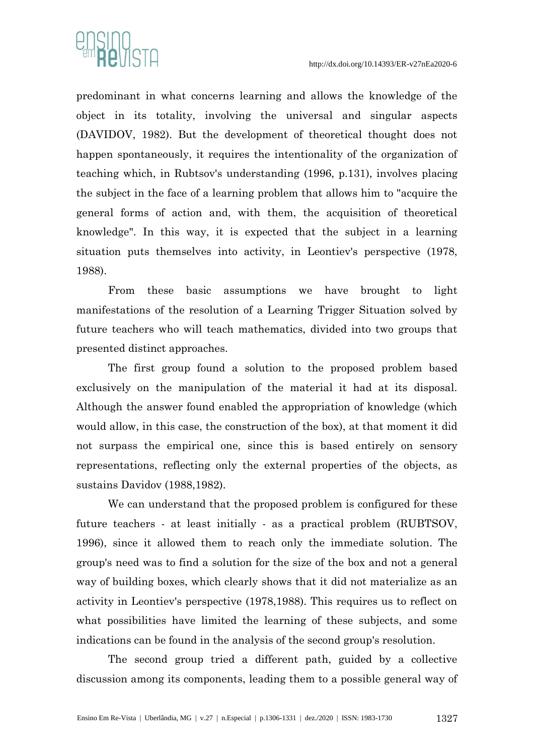

predominant in what concerns learning and allows the knowledge of the object in its totality, involving the universal and singular aspects (DAVIDOV, 1982). But the development of theoretical thought does not happen spontaneously, it requires the intentionality of the organization of teaching which, in Rubtsov's understanding (1996, p.131), involves placing the subject in the face of a learning problem that allows him to "acquire the general forms of action and, with them, the acquisition of theoretical knowledge". In this way, it is expected that the subject in a learning situation puts themselves into activity, in Leontiev's perspective (1978, 1988).

From these basic assumptions we have brought to light manifestations of the resolution of a Learning Trigger Situation solved by future teachers who will teach mathematics, divided into two groups that presented distinct approaches.

The first group found a solution to the proposed problem based exclusively on the manipulation of the material it had at its disposal. Although the answer found enabled the appropriation of knowledge (which would allow, in this case, the construction of the box), at that moment it did not surpass the empirical one, since this is based entirely on sensory representations, reflecting only the external properties of the objects, as sustains Davidov (1988,1982).

We can understand that the proposed problem is configured for these future teachers - at least initially - as a practical problem (RUBTSOV, 1996), since it allowed them to reach only the immediate solution. The group's need was to find a solution for the size of the box and not a general way of building boxes, which clearly shows that it did not materialize as an activity in Leontiev's perspective (1978,1988). This requires us to reflect on what possibilities have limited the learning of these subjects, and some indications can be found in the analysis of the second group's resolution.

The second group tried a different path, guided by a collective discussion among its components, leading them to a possible general way of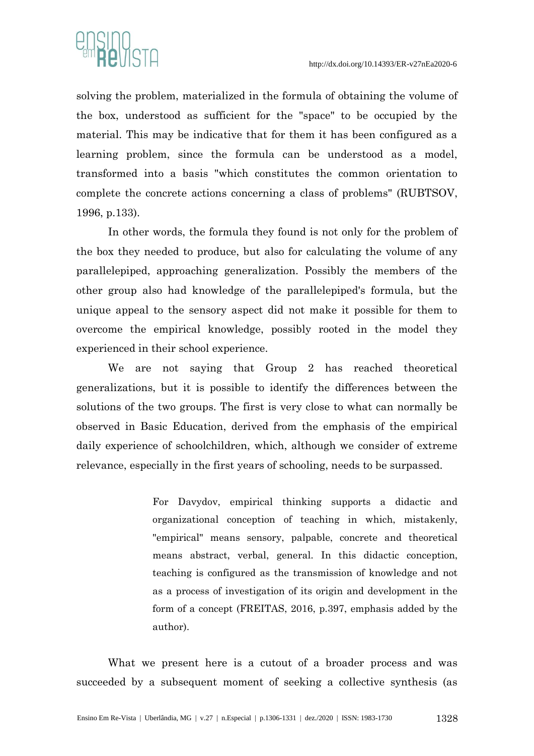

solving the problem, materialized in the formula of obtaining the volume of the box, understood as sufficient for the "space" to be occupied by the material. This may be indicative that for them it has been configured as a learning problem, since the formula can be understood as a model, transformed into a basis "which constitutes the common orientation to complete the concrete actions concerning a class of problems" (RUBTSOV, 1996, p.133).

In other words, the formula they found is not only for the problem of the box they needed to produce, but also for calculating the volume of any parallelepiped, approaching generalization. Possibly the members of the other group also had knowledge of the parallelepiped's formula, but the unique appeal to the sensory aspect did not make it possible for them to overcome the empirical knowledge, possibly rooted in the model they experienced in their school experience.

We are not saying that Group 2 has reached theoretical generalizations, but it is possible to identify the differences between the solutions of the two groups. The first is very close to what can normally be observed in Basic Education, derived from the emphasis of the empirical daily experience of schoolchildren, which, although we consider of extreme relevance, especially in the first years of schooling, needs to be surpassed.

> For Davydov, empirical thinking supports a didactic and organizational conception of teaching in which, mistakenly, "empirical" means sensory, palpable, concrete and theoretical means abstract, verbal, general. In this didactic conception, teaching is configured as the transmission of knowledge and not as a process of investigation of its origin and development in the form of a concept (FREITAS, 2016, p.397, emphasis added by the author).

What we present here is a cutout of a broader process and was succeeded by a subsequent moment of seeking a collective synthesis (as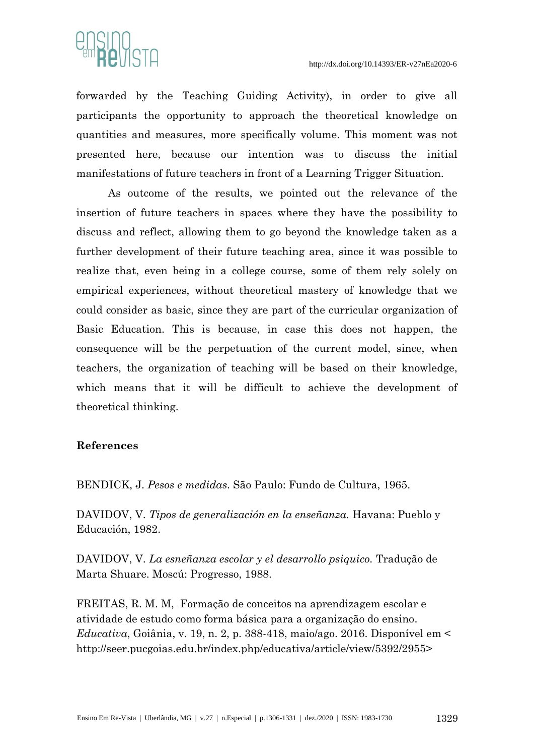

forwarded by the Teaching Guiding Activity), in order to give all participants the opportunity to approach the theoretical knowledge on quantities and measures, more specifically volume. This moment was not presented here, because our intention was to discuss the initial manifestations of future teachers in front of a Learning Trigger Situation.

As outcome of the results, we pointed out the relevance of the insertion of future teachers in spaces where they have the possibility to discuss and reflect, allowing them to go beyond the knowledge taken as a further development of their future teaching area, since it was possible to realize that, even being in a college course, some of them rely solely on empirical experiences, without theoretical mastery of knowledge that we could consider as basic, since they are part of the curricular organization of Basic Education. This is because, in case this does not happen, the consequence will be the perpetuation of the current model, since, when teachers, the organization of teaching will be based on their knowledge, which means that it will be difficult to achieve the development of theoretical thinking.

## **References**

BENDICK, J. *Pesos e medidas*. São Paulo: Fundo de Cultura, 1965.

DAVIDOV, V. *Tipos de generalización en la enseñanza.* Havana: Pueblo y Educación, 1982.

DAVIDOV, V. *La esneñanza escolar y el desarrollo psiquico.* Tradução de Marta Shuare. Moscú: Progresso, 1988.

FREITAS, R. M. M, Formação de conceitos na aprendizagem escolar e atividade de estudo como forma básica para a organização do ensino. *Educativa*, Goiânia, v. 19, n. 2, p. 388-418, maio/ago. 2016. Disponível em < [http://seer.pucgoias.edu.br/index.php/educativa/article/view/5392/2955>](about:blank)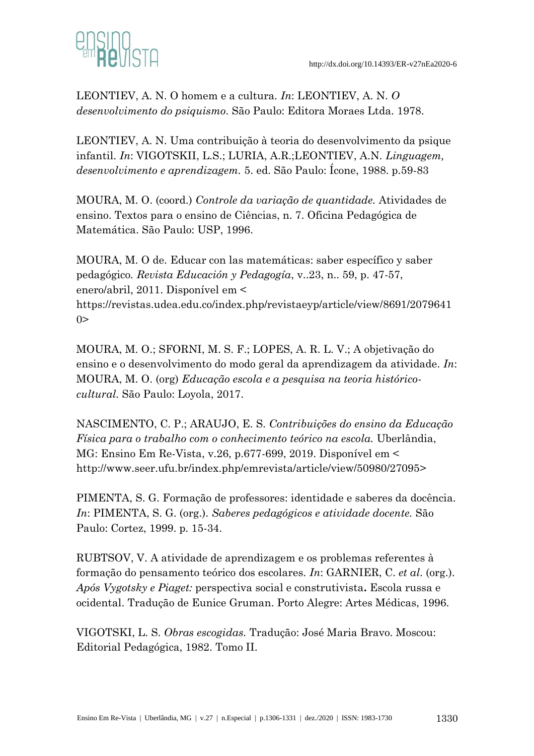

LEONTIEV, A. N. O homem e a cultura*. In*: LEONTIEV, A. N. *O desenvolvimento do psiquismo*. São Paulo: Editora Moraes Ltda. 1978.

LEONTIEV, A. N. Uma contribuição à teoria do desenvolvimento da psique infantil. *In*: VIGOTSKII, L.S.; LURIA, A.R.;LEONTIEV, A.N. *Linguagem, desenvolvimento e aprendizagem.* 5. ed. São Paulo: Ícone, 1988. p.59-83

MOURA, M. O. (coord.) *Controle da variação de quantidade.* Atividades de ensino. Textos para o ensino de Ciências, n. 7. Oficina Pedagógica de Matemática. São Paulo: USP, 1996.

MOURA, M. O de. Educar con las matemáticas: saber específico y saber pedagógico*. Revista Educación y Pedagogía*, v..23, n.. 59, p. 47-57, enero/abril, 2011. Disponível em <

[https://revistas.udea.edu.co/index.php/revistaeyp/article/view/8691/2079641](about:blank)  $0>$ 

MOURA, M. O.; SFORNI, M. S. F.; LOPES, A. R. L. V.; A objetivação do ensino e o desenvolvimento do modo geral da aprendizagem da atividade. *In*: MOURA, M. O. (org) *Educação escola e a pesquisa na teoria históricocultural.* São Paulo: Loyola, 2017.

NASCIMENTO, C. P.; ARAUJO, E. S. *Contribuições do ensino da Educação Física para o trabalho com o conhecimento teórico na escola.* Uberlândia, MG: Ensino Em Re-Vista, v.26, p.677-699, 2019. Disponível em < [http://www.seer.ufu.br/index.php/emrevista/article/view/50980/27095>](about:blank)

PIMENTA, S. G. Formação de professores: identidade e saberes da docência. *In*: PIMENTA, S. G. (org.). *Saberes pedagógicos e atividade docente.* São Paulo: Cortez, 1999. p. 15-34.

RUBTSOV, V. A atividade de aprendizagem e os problemas referentes à formação do pensamento teórico dos escolares. *In*: GARNIER, C. *et al*. (org.). *Após Vygotsky e Piaget:* perspectiva social e construtivista**.** Escola russa e ocidental. Tradução de Eunice Gruman. Porto Alegre: Artes Médicas, 1996.

VIGOTSKI, L. S. *Obras escogidas.* Tradução: José Maria Bravo. Moscou: Editorial Pedagógica, 1982. Tomo II.